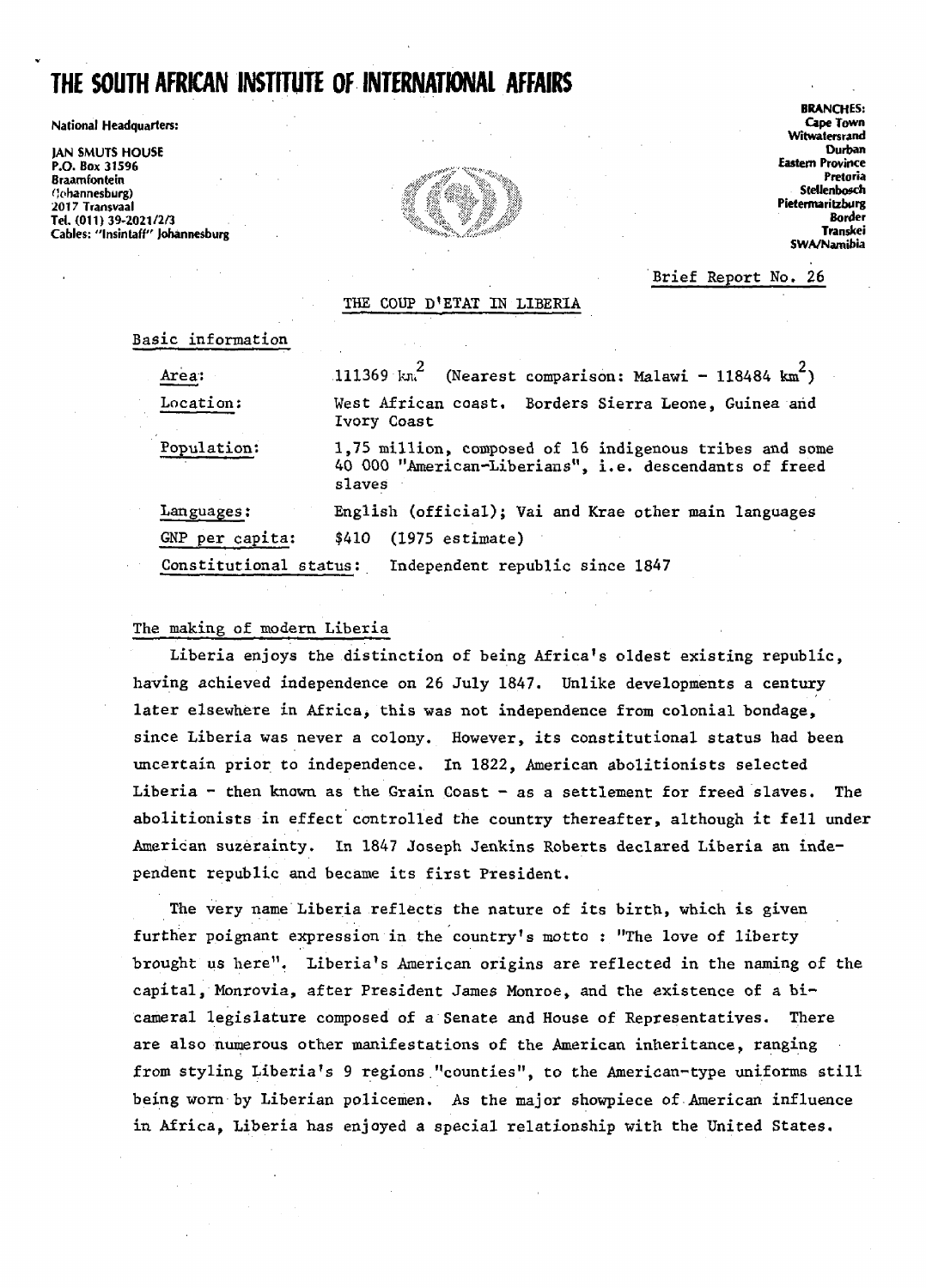# **THE SOUTH AFRICAN INSTITUTE OF INTERNATIONAL AFFAIRS**

**National Headquarteis: Cape Town**

**|AN SMUTS HOUSE Durban P.O. Box 31596 Eastern Province Braamfontein Pretoria flohannesburg) \* - Stdlenbosch 2017 Transvaal , Pietermaritzburg Tel. (011) 39-2021/2/3 > ' Bo"\* '** Cables: "Insintaff" Johannesburg



**BRANCHES: Witwatersrand SWA/Namibia**

# Brief Report No. 26

# THE COUP D\*ETAT IN LIBERIA

Basic information

| Area:                  | 111369 km <sup>2</sup> (Nearest comparison: Malawi - 118484 km <sup>2</sup> )                                               |
|------------------------|-----------------------------------------------------------------------------------------------------------------------------|
| Location:              | West African coast. Borders Sierra Leone, Guinea and<br>Ivory Coast                                                         |
| Population:            | 1,75 million, composed of 16 indigenous tribes and some<br>40 000 "American-Liberians", i.e. descendants of freed<br>slaves |
| Languages:             | English (official); Vai and Krae other main languages                                                                       |
| GNP per capita:        | $(1975$ estimate)<br>\$410                                                                                                  |
| Constitutional status: | Independent republic since 1847                                                                                             |

## The making of modern Liberia

Liberia enjoys the distinction of being Africa's oldest existing republic, having achieved independence on 26 July 1847. Unlike developments a century later elsewhere in Africa, this was not independence from colonial bondage, since Liberia was never a colony. However, its constitutional status had been uncertain prior to independence. In 1822, American abolitionists selected Liberia - then known as the Grain Coast - as a settlement for freed slaves. The abolitionists in effect controlled the country thereafter, although it fell under American suzerainty. In 1847 Joseph Jenkins Roberts declared Liberia an independent republic and became its first President.

The very name Liberia reflects the nature of its birth, which is given further poignant expression in the country's motto : "The love of liberty brought us here". Liberia's American origins are reflected in the naming of the capital, Monrovia, after President James Monroe, and the existence of a bicameral legislature composed of a Senate and House of Representatives. There are also numerous other manifestations of the American inheritance, ranging from styling Liberia's 9 regions "counties", to the American-type uniforms still being worn by Liberian policemen. As the major showpiece of American influence in Africa, Liberia has enjoyed a special relationship with the United States.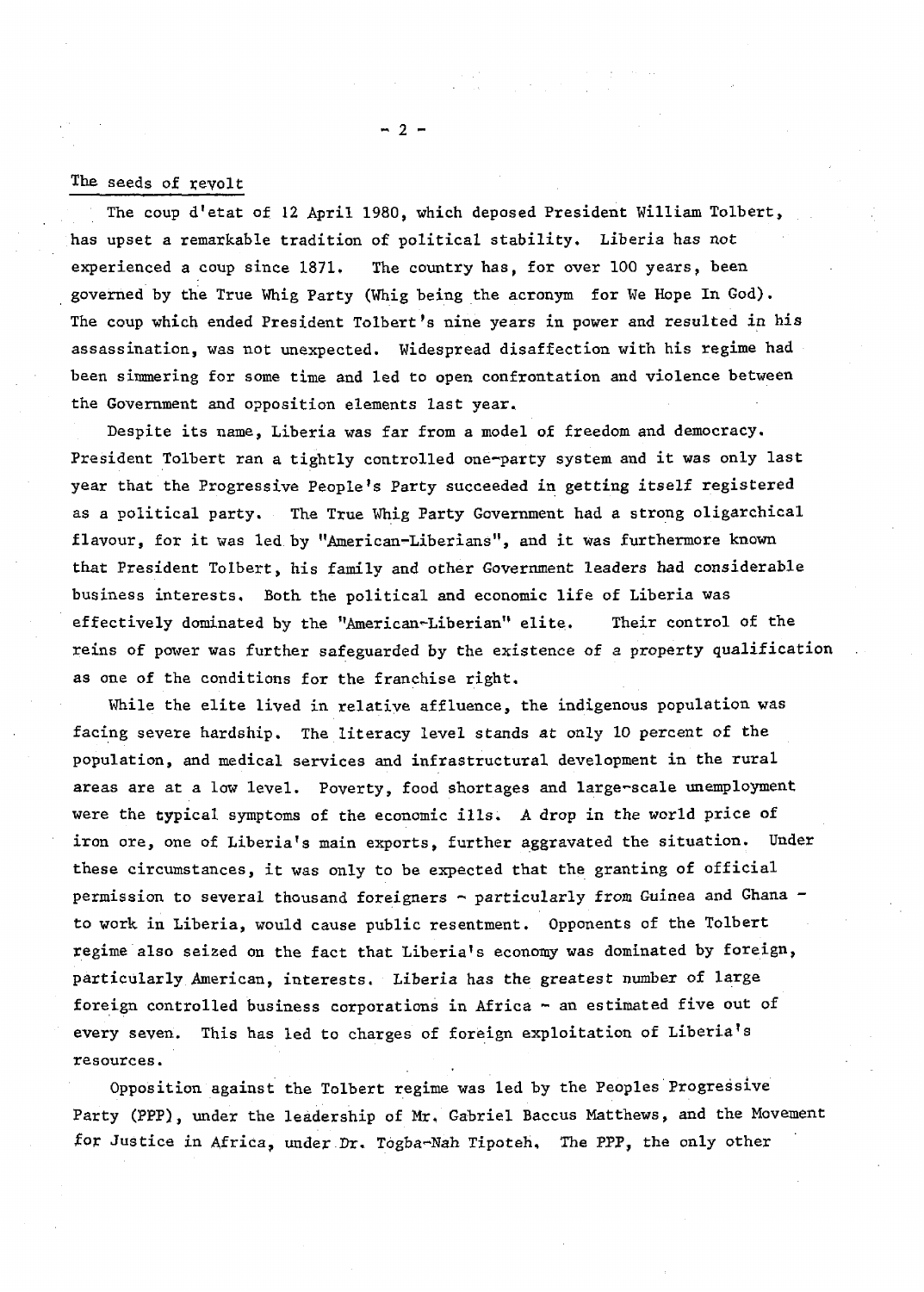### The seeds of revolt

The coup d'etat of 12 April 1980, which deposed President William Tolbert, has upset a remarkable tradition of political stability. Liberia has not experienced a coup since 1871, The country has, for over 100 years, been governed by the True Whig Party (Whig being the acronym for We Hope In God). The coup which ended President Tolbert's nine years in power and resulted in his assassination, was not unexpected. Widespread disaffection with his regime had been simmering for some time and led to open confrontation and violence between the Government and opposition elements last year.

Despite its name, Liberia was far from a model of freedom and democracy. President Tolbert ran a tightly controlled one-party system and it was only last year that the Progressive People's Party succeeded in getting itself registered as a political party. The True Whig Party Government had a strong oligarchical flavour, for it was led by "American-Liberians", and it was furthermore known that President Tolbert, his family and other Government leaders had considerable business interests. Both the political and economic life of Liberia was effectively dominated by the "American-Liberian" elite. Their control of the reins of power was further safeguarded by the existence of a property qualification as one of the conditions for the franchise right.

While the elite lived in relative affluence, the indigenous population was facing severe hardship. The literacy level stands at only 10 percent of the population, and medical services and infrastructural development in the rural areas are at a low level. Poverty, food shortages and large-scale unemployment were the typical symptoms of the economic ills. A drop in the world price of iron ore, one of Liberia's main exports, further aggravated the situation. Under these circumstances, it was only to be expected that the granting of official permission to several thousand foreigners - particularly from Guinea and Ghana to work in Liberia, would cause public resentment. Opponents of the Tolbert regime also seized on the fact that Liberia's economy was dominated by foreign, particularly American, interests. Liberia has the greatest number of large foreign controlled business corporations in Africa - an estimated five out of every seven. This has led to charges of foreign exploitation of Liberia\*s resources.

Opposition against the Tolbert regime was led by the Peoples Progressive Party (PPP), under the leadership of Mr. Gabriel Baccus Matthews, and the Movement for Justice in Africa, under Dr. Togba-Nah Tipoteh. The PPP, the only other

 $-2-$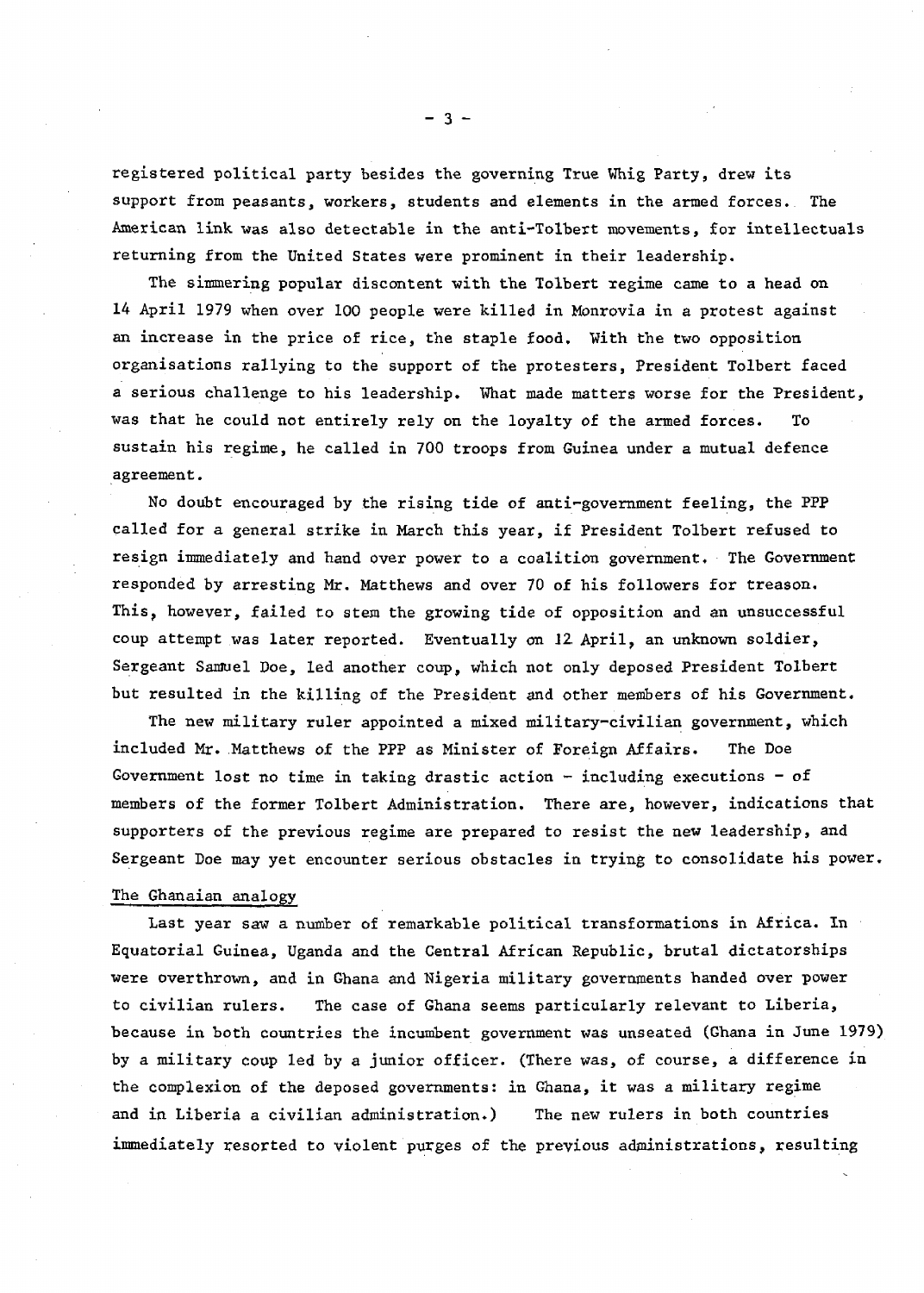registered political party besides the governing True Whig Party, drew its support from peasants, workers, students and elements in the armed forces. The American link was also detectable in the anti-Tolbert movements, for intellectuals returning from the United States were prominent in their leadership.

The simmering popular discontent with the Tolbext regime came to a head on 14 April 1979 when over 100 people were killed in Monrovia in a protest against an increase in the price of rice, the staple food. With the two opposition organisations rallying to the support of the protesters, President Tolbert faced a serious challenge to his leadership. What made matters worse for the President, was that he could not entirely rely on the loyalty of the armed forces. To sustain his regime, he called in 700 troops from Guinea under a mutual defence agreement.

No doubt encouraged by the rising tide of anti-government feeling, the PPP called for a general strike in March this year, if President Tolbert refused to resign immediately and hand over power to a coalition government. The Government responded by arresting Mr. Matthews and over 70 of his followers for treason. This, however, failed to stem the growing tide of opposition and an unsuccessful coup attempt was later reported. Eventually on 12. April, an unknown soldier, Sergeant Samuel Doe, led another coup, which not only deposed President Tolbert but resulted in the killing of the President and other members of his Government.

The new military ruler appointed a mixed military-civilian government, which included Mr. Matthews of the PPP as Minister of Foreign Affairs. The Doe Government lost no time in taking drastic action  $-$  including executions  $-$  of members of the former Tolbert Administration. There are, however, indications that supporters of the previous regime are prepared to resist the new leadership, and Sergeant Doe may yet encounter serious obstacles in trying to consolidate his power.

#### The Ghanaian analogy

Last year saw a number of remarkable political transformations in Africa. In Equatorial Guinea, Uganda and the Central African Republic, brutal dictatorships were overthrown, and in Ghana and Nigeria military governments handed over power to civilian rulers. The case of Ghana seems particularly relevant to Liberia, because in both countries the incumbent government was unseated (Ghana in June 1979) by a military coup led by a junior officer. (There was, of course, a difference in the complexion of the deposed governments: in Ghana, it was a military regime and in Liberia a civilian administration.) The new rulers in both countries immediately resorted to violent purges of the previous administrations, resulting

- 3 -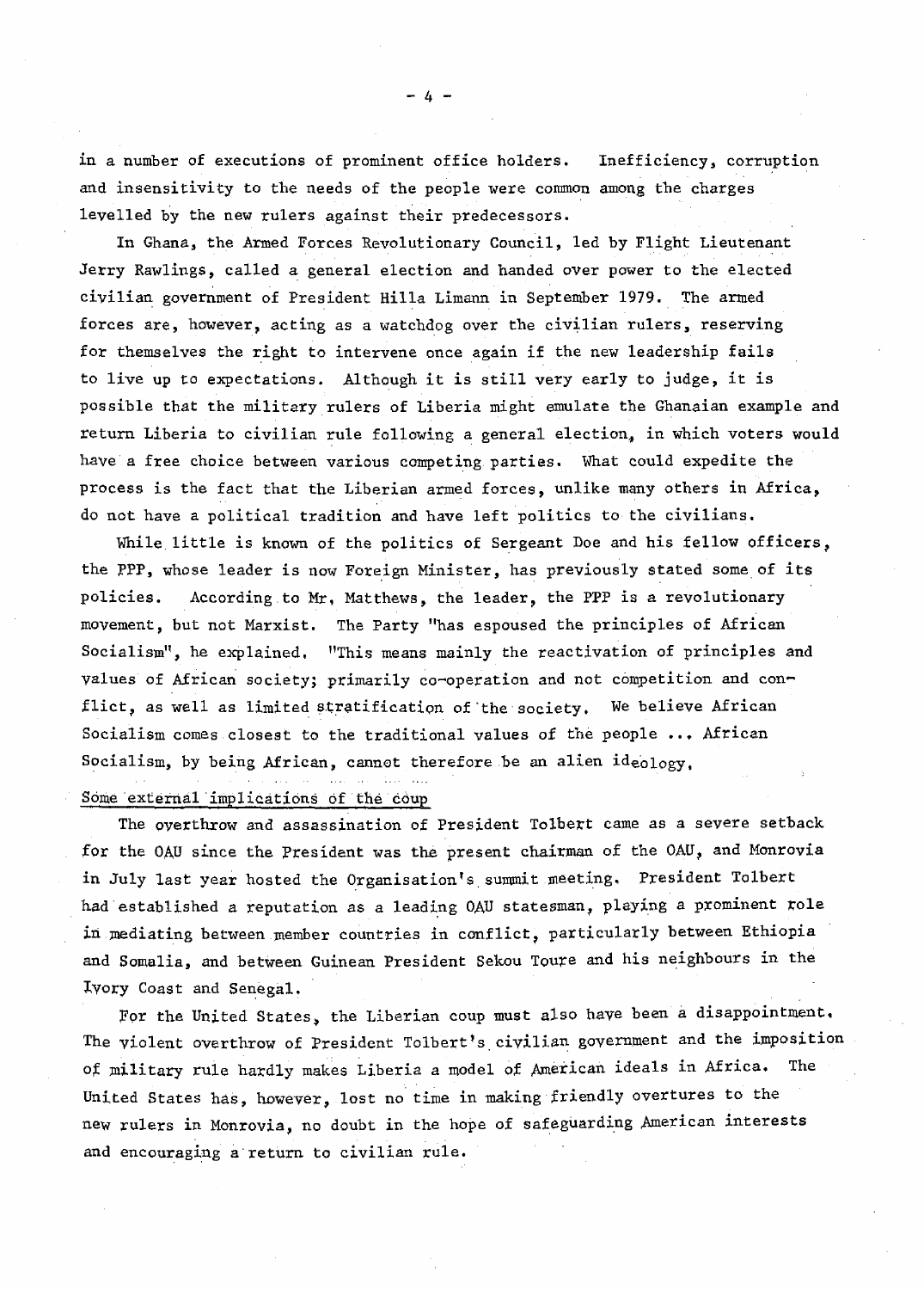in a number of executions of prominent office holders. Inefficiency, corruption and insensitivity to the needs of the people were common among the charges levelled by the new rulers against their predecessors.

In Ghana, the Armed Forces Revolutionary Council, led by Flight Lieutenant Jerry Rawlings, called a general election and handed over power to the elected civilian government of President Hilla Limann in September 1979. The armed forces are, however, acting as a watchdog over the civilian rulers, reserving for themselves the right to intervene once again if the new leadership fails to live up to expectations. Although it is still very early to judge, it is possible that the military rulers of Liberia might emulate the Ghanaian example and return Liberia to civilian rule following a general election, in which voters would have a free choice between various competing parties. What could expedite the process is the fact that the Liberian armed forces, unlike many others in Africa, do not have a political tradition and have left politics to the civilians.

While little is known of the politics of Sergeant Doe and his fellow officers, the PPP, whose leader is now Foreign Minister, has previously stated some of its policies. According to Mr, Matthews, the leader, the PPP is a revolutionary movement, but not Marxist. The Party "has espoused the principles of African Socialism", he explained, "This means mainly the reactivation of principles and values of African society; primarily co-operation and not competition and conflict, as well as limited stratification of the society. We believe African Socialism comes closest to the traditional values of the people ... African Socialism, by being African, cannot therefore be an alien ideology,

# Some external implications of the coup

The overthrow and assassination of President Tolbert came as a severe setback for the OAU since the President was the present chairman of the OAU, and Monrovia in July last year hosted the Organisation's summit meeting. President Tolbert had established a reputation as a leading OAU statesman, playing a prominent role in mediating between member countries in conflict, particularly between Ethiopia and Somalia, and between Guinean President Sekou Toure and his neighbours in the Ivory Coast and Senegal.

For the United States, the Liberian coup must also have been a disappointment. The violent overthrow of President Tolbert's civilian government and the imposition of military rule hardly makes Liberia a model of American ideals in Africa, The United States has, however, lost no time in making friendly overtures to the new rulers in Monrovia, no doubt in the hope of safeguarding American interests and encouraging a return to civilian rule.